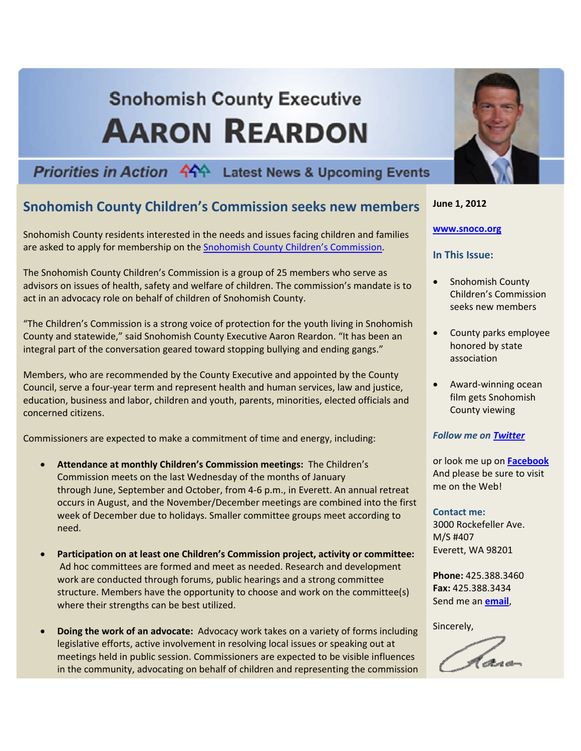# **Snohomish County Executive AARON REARDON**

# **Priorities in Action 444 Latest News & Upcoming Events**

# **Snohomish County Children's Commission seeks new members**

Snohomish County residents interested in the needs and issues facing children and families are asked to apply for membership on the Snohomish County Children's [Commission.](http://wevaluekids.org/)

The Snohomish County Children's Commission is a group of 25 members who serve as advisors on issues of health, safety and welfare of children. The commission's mandate is to act in an advocacy role on behalf of children of Snohomish County.

"The Children's Commission is a strong voice of protection for the youth living in Snohomish County and statewide," said Snohomish County Executive Aaron Reardon. "It has been an integral part of the conversation geared toward stopping bullying and ending gangs."

Members, who are recommended by the County Executive and appointed by the County Council, serve a four‐year term and represent health and human services, law and justice, education, business and labor, children and youth, parents, minorities, elected officials and concerned citizens.

Commissioners are expected to make a commitment of time and energy, including:

- **Attendance at monthly Children's Commission meetings:** The Children's Commission meets on the last Wednesday of the months of January through June, September and October, from 4‐6 p.m., in Everett. An annual retreat occurs in August, and the November/December meetings are combined into the first week of December due to holidays. Smaller committee groups meet according to need.
- **Participation on at least one Children's Commission project, activity or committee:** Ad hoc committees are formed and meet as needed. Research and development work are conducted through forums, public hearings and a strong committee structure. Members have the opportunity to choose and work on the committee(s) where their strengths can be best utilized.
- **Doing the work of an advocate:** Advocacy work takes on a variety of forms including legislative efforts, active involvement in resolving local issues or speaking out at meetings held in public session. Commissioners are expected to be visible influences in the community, advocating on behalf of children and representing the commission



## **June 1, 2012**

#### **[www.snoco.org](http://www.snoco.org/)**

## **In This Issue:**

- Snohomish County Children's Commission seeks new members
- County parks employee honored by state association
- Award‐winning ocean film gets Snohomish County viewing

### *Follow me on [Twitter](http://twitter.com/Aaron_Reardon)*

or look me up on **[Facebook](http://www.facebook.com/pages/Aaron-Reardon/32419883425?sid=c70b280a80df287fd687319fbabc8f13&ref=search)** And please be sure to visit me on the Web!

### **Contact me:**

3000 Rockefeller Ave. M/S #407 Everett, WA 98201

**Phone:** 425.388.3460 **Fax:** 425.388.3434 Send me an **[email](mailto:County.Executive@snoco.org)**,

Sincerely,

haw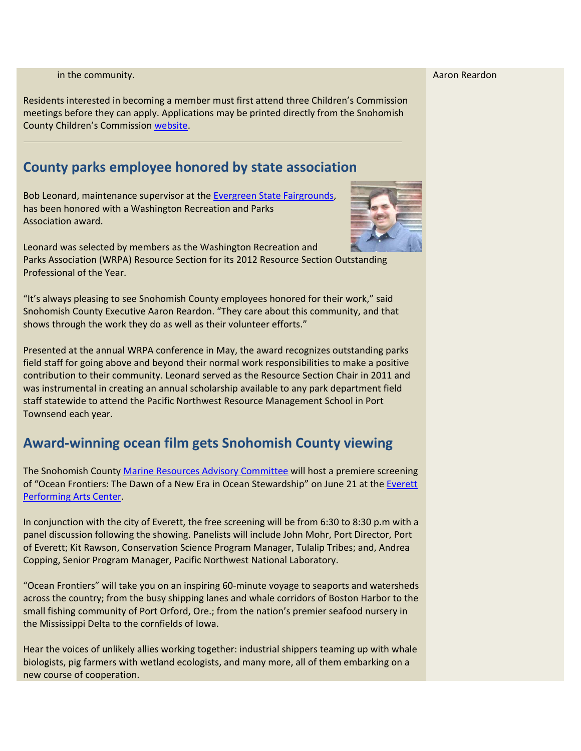Aaron Reardon

in the community.

Residents interested in becoming a member must first attend three Children's Commission meetings before they can apply. Applications may be printed directly from the Snohomish County Children's Commission [website.](http://wevaluekids.org/)

## **County parks employee honored by state association**

Bob Leonard, maintenance supervisor at the Evergreen State Fairgrounds, has been honored with a Washington Recreation and Parks Association award.



Leonard was selected by members as the Washington Recreation and Parks Association (WRPA) Resource Section for its 2012 Resource Section Outstanding Professional of the Year.

"It's always pleasing to see Snohomish County employees honored for their work," said Snohomish County Executive Aaron Reardon. "They care about this community, and that shows through the work they do as well as their volunteer efforts."

Presented at the annual WRPA conference in May, the award recognizes outstanding parks field staff for going above and beyond their normal work responsibilities to make a positive contribution to their community. Leonard served as the Resource Section Chair in 2011 and was instrumental in creating an annual scholarship available to any park department field staff statewide to attend the Pacific Northwest Resource Management School in Port Townsend each year.

## **Award‐winning ocean film gets Snohomish County viewing**

The Snohomish County Marine Resources Advisory Committee will host a premiere screening of "Ocean Frontiers: The Dawn of a New Era in Ocean Stewardship" on June 21 at the [Everett](http://www.snocomrc.org/) [Performing](http://www.snocomrc.org/) Arts Center.

In conjunction with the city of Everett, the free screening will be from 6:30 to 8:30 p.m with a panel discussion following the showing. Panelists will include John Mohr, Port Director, Port of Everett; Kit Rawson, Conservation Science Program Manager, Tulalip Tribes; and, Andrea Copping, Senior Program Manager, Pacific Northwest National Laboratory.

"Ocean Frontiers" will take you on an inspiring 60‐minute voyage to seaports and watersheds across the country; from the busy shipping lanes and whale corridors of Boston Harbor to the small fishing community of Port Orford, Ore.; from the nation's premier seafood nursery in the Mississippi Delta to the cornfields of Iowa.

Hear the voices of unlikely allies working together: industrial shippers teaming up with whale biologists, pig farmers with wetland ecologists, and many more, all of them embarking on a new course of cooperation.